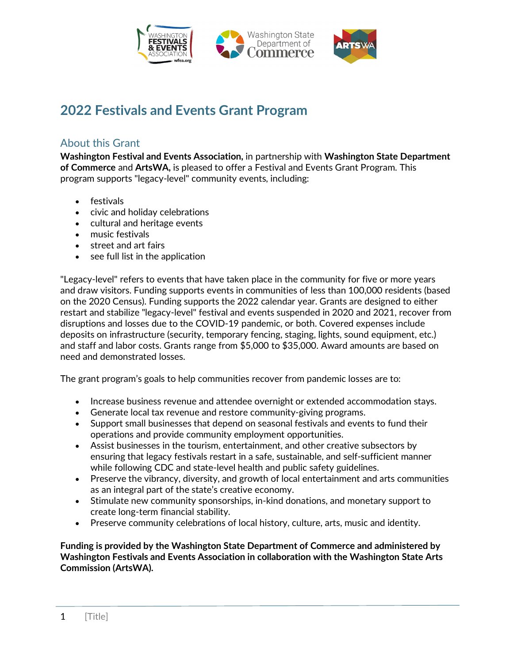

# **2022 Festivals and Events Grant Program**

### About this Grant

**Washington Festival and Events Association,** in partnership with **Washington State Department of Commerce** and **ArtsWA,** is pleased to offer a Festival and Events Grant Program. This program supports "legacy-level" community events, including:

- festivals
- civic and holiday celebrations
- cultural and heritage events
- music festivals
- street and art fairs
- see full list in the application

"Legacy-level" refers to events that have taken place in the community for five or more years and draw visitors. Funding supports events in communities of less than 100,000 residents (based on the 2020 Census). Funding supports the 2022 calendar year. Grants are designed to either restart and stabilize "legacy-level" festival and events suspended in 2020 and 2021, recover from disruptions and losses due to the COVID-19 pandemic, or both. Covered expenses include deposits on infrastructure (security, temporary fencing, staging, lights, sound equipment, etc.) and staff and labor costs. Grants range from \$5,000 to \$35,000. Award amounts are based on need and demonstrated losses.

The grant program's goals to help communities recover from pandemic losses are to:

- Increase business revenue and attendee overnight or extended accommodation stays.
- Generate local tax revenue and restore community-giving programs.
- Support small businesses that depend on seasonal festivals and events to fund their operations and provide community employment opportunities.
- Assist businesses in the tourism, entertainment, and other creative subsectors by ensuring that legacy festivals restart in a safe, sustainable, and self-sufficient manner while following CDC and state-level health and public safety guidelines.
- Preserve the vibrancy, diversity, and growth of local entertainment and arts communities as an integral part of the state's creative economy.
- Stimulate new community sponsorships, in-kind donations, and monetary support to create long-term financial stability.
- Preserve community celebrations of local history, culture, arts, music and identity.

**Funding is provided by the Washington State Department of Commerce and administered by Washington Festivals and Events Association in collaboration with the Washington State Arts Commission (ArtsWA).**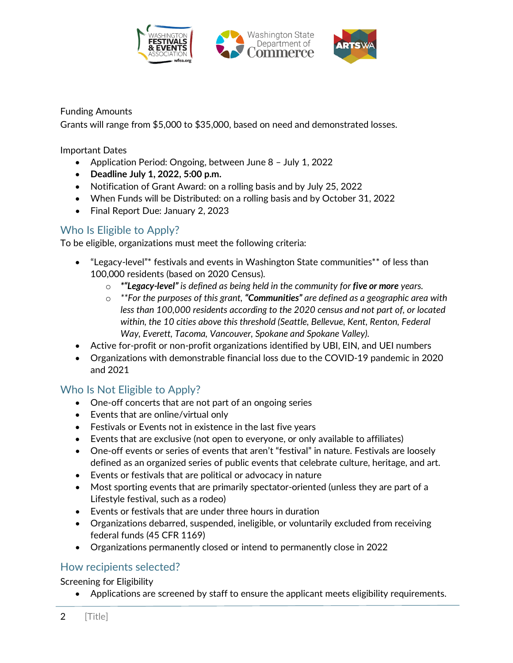

Funding Amounts

Grants will range from \$5,000 to \$35,000, based on need and demonstrated losses.

Important Dates

- Application Period: Ongoing, between June 8 July 1, 2022
- **Deadline July 1, 2022, 5:00 p.m.**
- Notification of Grant Award: on a rolling basis and by July 25, 2022
- When Funds will be Distributed: on a rolling basis and by October 31, 2022
- Final Report Due: January 2, 2023

# Who Is Eligible to Apply?

To be eligible, organizations must meet the following criteria:

- "Legacy-level"\* festivals and events in Washington State communities\*\* of less than 100,000 residents (based on 2020 Census).
	- o *\*"Legacy-level" is defined as being held in the community for five or more years.*
	- o *\*\*For the purposes of this grant, "Communities" are defined as a geographic area with less than 100,000 residents according to the 2020 census and not part of, or located within, the 10 cities above this threshold (Seattle, Bellevue, Kent, Renton, Federal Way, Everett, Tacoma, Vancouver, Spokane and Spokane Valley).*
- Active for-profit or non-profit organizations identified by UBI, EIN, and UEI numbers
- Organizations with demonstrable financial loss due to the COVID-19 pandemic in 2020 and 2021

# Who Is Not Eligible to Apply?

- One-off concerts that are not part of an ongoing series
- Events that are online/virtual only
- Festivals or Events not in existence in the last five years
- Events that are exclusive (not open to everyone, or only available to affiliates)
- One-off events or series of events that aren't "festival" in nature. Festivals are loosely defined as an organized series of public events that celebrate culture, heritage, and art.
- Events or festivals that are political or advocacy in nature
- Most sporting events that are primarily spectator-oriented (unless they are part of a Lifestyle festival, such as a rodeo)
- Events or festivals that are under three hours in duration
- Organizations debarred, suspended, ineligible, or voluntarily excluded from receiving federal funds (45 CFR 1169)
- Organizations permanently closed or intend to permanently close in 2022

### How recipients selected?

#### Screening for Eligibility

• Applications are screened by staff to ensure the applicant meets eligibility requirements.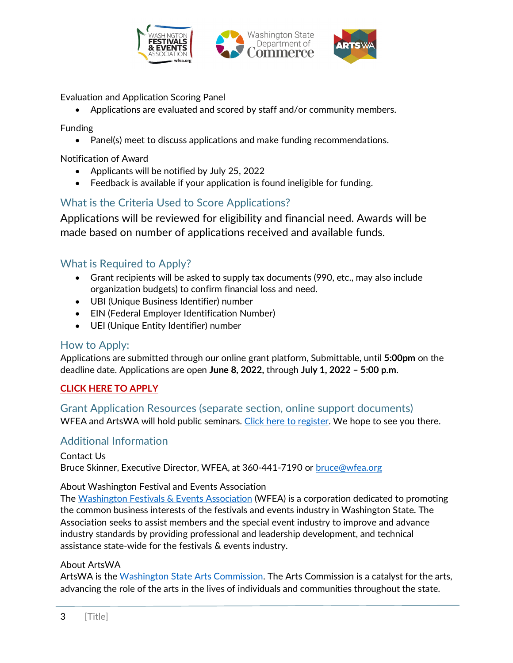

Evaluation and Application Scoring Panel

• Applications are evaluated and scored by staff and/or community members.

Funding

• Panel(s) meet to discuss applications and make funding recommendations.

Notification of Award

- Applicants will be notified by July 25, 2022
- Feedback is available if your application is found ineligible for funding.

# What is the Criteria Used to Score Applications?

Applications will be reviewed for eligibility and financial need. Awards will be made based on number of applications received and available funds.

### What is Required to Apply?

- Grant recipients will be asked to supply tax documents (990, etc., may also include organization budgets) to confirm financial loss and need.
- UBI (Unique Business Identifier) number
- EIN (Federal Employer Identification Number)
- UEI (Unique Entity Identifier) number

### How to Apply:

Applications are submitted through our online grant platform, Submittable, until **5:00pm** on the deadline date. Applications are open **June 8, 2022,** through **July 1, 2022 – 5:00 p.m**.

#### **[CLICK HERE TO APPLY](https://artswagto.submittable.com/submit/227090/wfea-and-artswa-festival-and-events-grant-program)**

Grant Application Resources (separate section, online support documents) WFEA and ArtsWA will hold public seminars. [Click here to register.](https://www.wfea.org/) We hope to see you there.

### Additional Information

Contact Us Bruce Skinner, Executive Director, WFEA, at 360-441-7190 or [bruce@wfea.org](mailto:bruce@wfea.org)

#### About Washington Festival and Events Association

The [Washington Festivals & Events Association](https://www.wfea.org/About) (WFEA) is a corporation dedicated to promoting the common business interests of the festivals and events industry in Washington State. The Association seeks to assist members and the special event industry to improve and advance industry standards by providing professional and leadership development, and technical assistance state-wide for the festivals & events industry.

#### About ArtsWA

ArtsWA is th[e Washington State Arts Commission.](https://www.arts.wa.gov/about/) The Arts Commission is a catalyst for the arts, advancing the role of the arts in the lives of individuals and communities throughout the state.